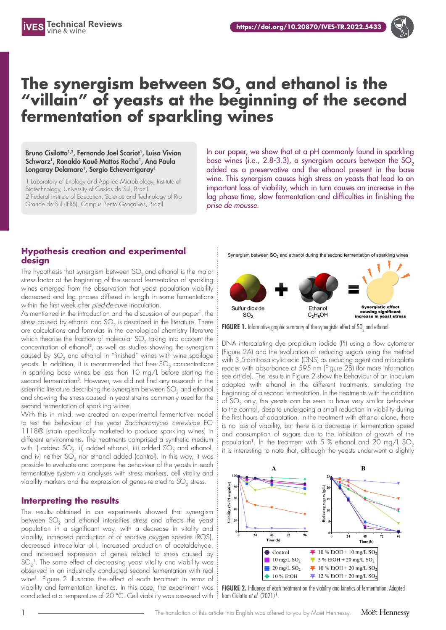



## **The synergism between SO2 and ethanol is the "villain" of yeasts at the beginning of the second fermentation of sparkling wines**

Bruno Cisilotto<sup>1,2</sup>, Fernando Joel Scariot<sup>1</sup>, Luisa Vivian Schwarz<sup>1</sup>, Ronaldo Kauê Mattos Rocha<sup>1</sup>, Ana Paula Longaray Delamare<sup>1</sup>, Sergio Echeverrigaray<sup>1</sup>

1 Laboratory of Enology and Applied Microbiology, Institute of Biotechnology, University of Caxias do Sul, Brazil. 2 Federal Institute of Education, Science and Technology of Rio Grande do Sul (IFRS), Campus Bento Gonçalves, Brazil.

In our paper, we show that at a pH commonly found in sparkling base wines (i.e.,  $2.8-3.3$ ), a synergism occurs between the  $SO<sub>2</sub>$ added as a preservative and the ethanol present in the base wine. This synergism causes high stress on yeasts that lead to an important loss of viability, which in turn causes an increase in the lag phase time, slow fermentation and difficulties in finishing the *prise de mousse*.

## **Hypothesis creation and experimental design**

The hypothesis that synergism between  $SO<sub>2</sub>$  and ethanol is the major stress factor at the beginning of the second fermentation of sparkling wines emerged from the observation that yeast population viability decreased and lag phases differed in length in some fermentations within the first week after *pied-de-cuve* inoculation.

As mentioned in the introduction and the discussion of our paper<sup>1</sup>, the stress caused by ethanol and  $SO<sub>2</sub>$  is described in the literature. There are calculations and formulas in the oenological chemistry literature which theorise the fraction of molecular  $SO<sub>2</sub>$  taking into account the concentration of ethanol<sup>2</sup>, as well as studies showing the synergism caused by  $SO<sub>2</sub>$  and ethanol in "finished" wines with wine spoilage yeasts. In addition, it is recommended that free  $SO<sub>2</sub>$  concentrations in sparkling base wines be less than 10 mg/L before starting the second fermentation<sup>3</sup>. However, we did not find any research in the scientific literature describing the synergism between  $SO<sub>2</sub>$  and ethanol and showing the stress caused in yeast strains commonly used for the second fermentation of sparkling wines.

With this in mind, we created an experimental fermentative model to test the behaviour of the yeast *Saccharomyces cerevisiae* EC-1118® (strain specifically marketed to produce sparkling wines) in different environments. The treatments comprised a synthetic medium with i) added SO<sub>2</sub>, ii) added ethanol, iii) added SO<sub>2</sub> and ethanol, and iv) neither  $SO_2$  nor ethanol added (control). In this way, it was possible to evaluate and compare the behaviour of the yeasts in each fermentative system via analyses with stress markers, cell vitality and viability markers and the expression of genes related to  $SO_2$  stress.

## **Interpreting the results**

The results obtained in our experiments showed that synergism between SO<sub>2</sub> and ethanol intensifies stress and affects the yeast population in a significant way, with a decrease in vitality and viability, increased production of of reactive oxygen species (ROS), decreased intracellular pH, increased production of acetaldehyde, and increased expression of genes related to stress caused by  $SO_2$ <sup>1</sup>. The same effect of decreasing yeast vitality and viability was observed in an industrially conducted second fermentation with real wine<sup>1</sup>. Figure 2 illustrates the effect of each treatment in terms of viability and fermentation kinetics. In this case, the experiment was conducted at a temperature of 20 °C. Cell viability was assessed with  $\colon$  from Cisilotto *et al.* (2021)<sup>1</sup>.



**FIGURE 1.** Informative graphic summary of the synergistic effect of SO<sub>2</sub> and ethanol.

DNA intercalating dye propidium iodide (PI) using a flow cytometer (Figure 2A) and the evaluation of reducing sugars using the method with 3,5-dinitrosalicylic acid (DNS) as reducing agent and microplate reader with absorbance at 595 nm (Figure 2B) (for more information see article). The results in Figure 2 show the behaviour of an inoculum adapted with ethanol in the different treatments, simulating the beginning of a second fermentation. In the treatments with the addition of SO<sub>2</sub> only, the yeasts can be seen to have very similar behaviour to the control, despite undergoing a small reduction in viability during the first hours of adaptation. In the treatment with ethanol alone, there is no loss of viability, but there is a decrease in fermentation speed and consumption of sugars due to the inhibition of growth of the population<sup>1</sup>. In the treatment with 5 % ethanol and 20 mg/L SO<sub>2</sub> it is interesting to note that, although the yeasts underwent a slightly



**FIGURE 2.** Influence of each treatment on the viability and kinetics of fermentation. Adapted